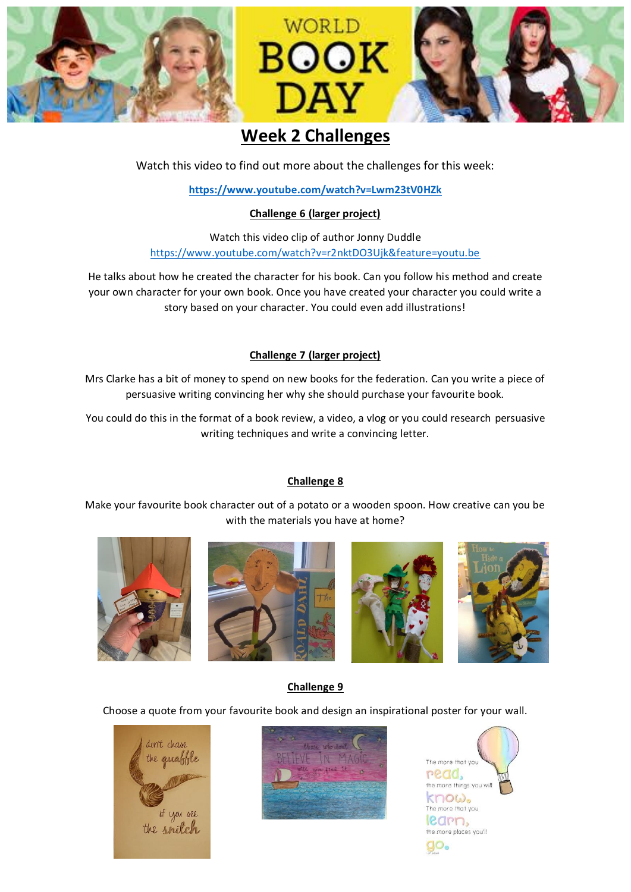

# **Week 2 Challenges**

Watch this video to find out more about the challenges for this week:

**<https://www.youtube.com/watch?v=Lwm23tV0HZk>**

#### **Challenge 6 (larger project)**

Watch this video clip of author Jonny Duddle <https://www.youtube.com/watch?v=r2nktDO3Ujk&feature=youtu.be>

He talks about how he created the character for his book. Can you follow his method and create your own character for your own book. Once you have created your character you could write a story based on your character. You could even add illustrations!

### **Challenge 7 (larger project)**

Mrs Clarke has a bit of money to spend on new books for the federation. Can you write a piece of persuasive writing convincing her why she should purchase your favourite book.

You could do this in the format of a book review, a video, a vlog or you could research persuasive writing techniques and write a convincing letter.

### **Challenge 8**

Make your favourite book character out of a potato or a wooden spoon. How creative can you be with the materials you have at home?



### **Challenge 9**

Choose a quote from your favourite book and design an inspirational poster for your wall.